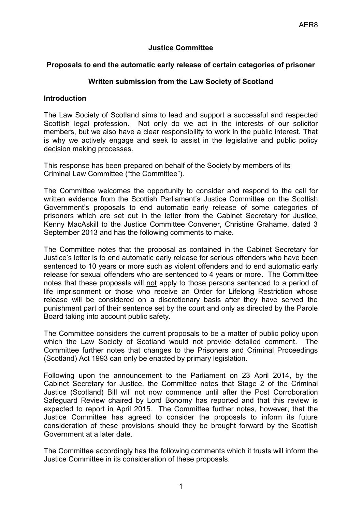## **Justice Committee**

## **Proposals to end the automatic early release of certain categories of prisoner**

## **Written submission from the Law Society of Scotland**

## **Introduction**

The Law Society of Scotland aims to lead and support a successful and respected Scottish legal profession. Not only do we act in the interests of our solicitor members, but we also have a clear responsibility to work in the public interest. That is why we actively engage and seek to assist in the legislative and public policy decision making processes.

This response has been prepared on behalf of the Society by members of its Criminal Law Committee ("the Committee").

The Committee welcomes the opportunity to consider and respond to the call for written evidence from the Scottish Parliament's Justice Committee on the Scottish Government's proposals to end automatic early release of some categories of prisoners which are set out in the letter from the Cabinet Secretary for Justice, Kenny MacAskill to the Justice Committee Convener, Christine Grahame, dated 3 September 2013 and has the following comments to make.

The Committee notes that the proposal as contained in the Cabinet Secretary for Justice's letter is to end automatic early release for serious offenders who have been sentenced to 10 years or more such as violent offenders and to end automatic early release for sexual offenders who are sentenced to 4 years or more. The Committee notes that these proposals will not apply to those persons sentenced to a period of life imprisonment or those who receive an Order for Lifelong Restriction whose release will be considered on a discretionary basis after they have served the punishment part of their sentence set by the court and only as directed by the Parole Board taking into account public safety.

The Committee considers the current proposals to be a matter of public policy upon which the Law Society of Scotland would not provide detailed comment. The Committee further notes that changes to the Prisoners and Criminal Proceedings (Scotland) Act 1993 can only be enacted by primary legislation.

Following upon the announcement to the Parliament on 23 April 2014, by the Cabinet Secretary for Justice, the Committee notes that Stage 2 of the Criminal Justice (Scotland) Bill will not now commence until after the Post Corroboration Safeguard Review chaired by Lord Bonomy has reported and that this review is expected to report in April 2015. The Committee further notes, however, that the Justice Committee has agreed to consider the proposals to inform its future consideration of these provisions should they be brought forward by the Scottish Government at a later date.

The Committee accordingly has the following comments which it trusts will inform the Justice Committee in its consideration of these proposals.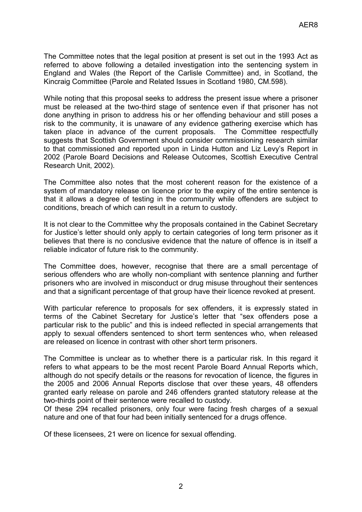The Committee notes that the legal position at present is set out in the 1993 Act as referred to above following a detailed investigation into the sentencing system in England and Wales (the Report of the Carlisle Committee) and, in Scotland, the Kincraig Committee (Parole and Related Issues in Scotland 1980, CM.598).

While noting that this proposal seeks to address the present issue where a prisoner must be released at the two-third stage of sentence even if that prisoner has not done anything in prison to address his or her offending behaviour and still poses a risk to the community, it is unaware of any evidence gathering exercise which has taken place in advance of the current proposals. The Committee respectfully suggests that Scottish Government should consider commissioning research similar to that commissioned and reported upon in Linda Hutton and Liz Levy's Report in 2002 (Parole Board Decisions and Release Outcomes, Scottish Executive Central Research Unit, 2002).

The Committee also notes that the most coherent reason for the existence of a system of mandatory release on licence prior to the expiry of the entire sentence is that it allows a degree of testing in the community while offenders are subject to conditions, breach of which can result in a return to custody.

It is not clear to the Committee why the proposals contained in the Cabinet Secretary for Justice's letter should only apply to certain categories of long term prisoner as it believes that there is no conclusive evidence that the nature of offence is in itself a reliable indicator of future risk to the community.

The Committee does, however, recognise that there are a small percentage of serious offenders who are wholly non-compliant with sentence planning and further prisoners who are involved in misconduct or drug misuse throughout their sentences and that a significant percentage of that group have their licence revoked at present.

With particular reference to proposals for sex offenders, it is expressly stated in terms of the Cabinet Secretary for Justice's letter that "sex offenders pose a particular risk to the public" and this is indeed reflected in special arrangements that apply to sexual offenders sentenced to short term sentences who, when released are released on licence in contrast with other short term prisoners.

The Committee is unclear as to whether there is a particular risk. In this regard it refers to what appears to be the most recent Parole Board Annual Reports which, although do not specify details or the reasons for revocation of licence, the figures in the 2005 and 2006 Annual Reports disclose that over these years, 48 offenders granted early release on parole and 246 offenders granted statutory release at the two-thirds point of their sentence were recalled to custody.

Of these 294 recalled prisoners, only four were facing fresh charges of a sexual nature and one of that four had been initially sentenced for a drugs offence.

Of these licensees, 21 were on licence for sexual offending.